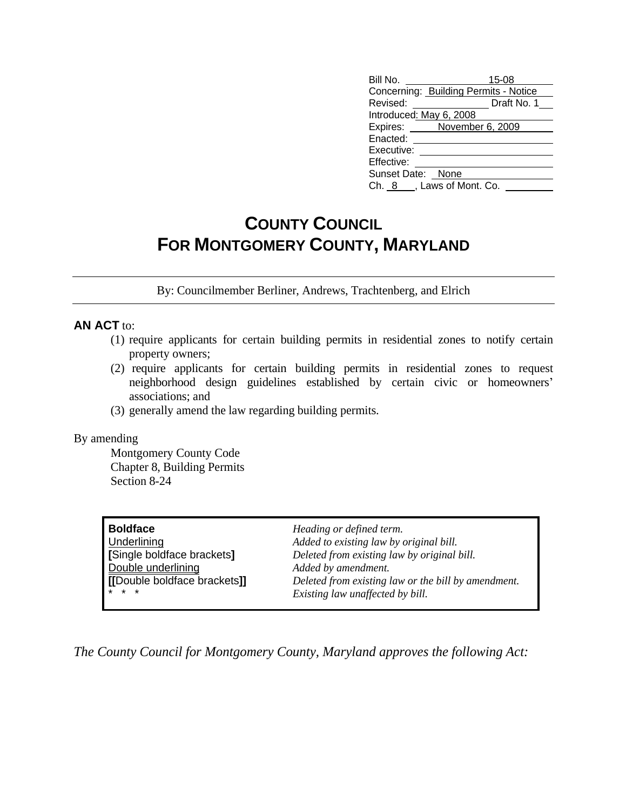| Bill No.<br>15.00<br>ט-טי             |  |  |
|---------------------------------------|--|--|
| Concerning: Building Permits - Notice |  |  |
| Revised:<br>Draft No. 1               |  |  |
| Introduced: May 6, 2008               |  |  |
| November 6, 2009<br>Expires:          |  |  |
| Enacted:                              |  |  |
| Executive:                            |  |  |
| Effective:                            |  |  |
| Sunset Date: None                     |  |  |
| , Laws of Mont. Co.<br>Ch. 8          |  |  |

# **COUNTY COUNCIL COUNCIL FOR MONTGOMERY COUNTY, MARYLAND**

By: Councilmember Berliner, Andrews, Trachtenberg, and Elrich

#### **AN ACT** to:

- (1) require applicants for certain building permits in residential zones to notify certain property owners;
- (2) require applicants for certain building permits in residential zones to request neighborhood design guidelines established by certain civic or homeowners associations; and
- (3) generally amend the law regarding building permits.

By amending

Montgomery County Code Chapter 8, Building Permits Section 8-24

| <b>Boldface</b>             | Heading or defined term.                            |
|-----------------------------|-----------------------------------------------------|
| Underlining                 | Added to existing law by original bill.             |
| [Single boldface brackets]  | Deleted from existing law by original bill.         |
| Double underlining          | Added by amendment.                                 |
| [Double boldface brackets]] | Deleted from existing law or the bill by amendment. |
| * * *                       | Existing law unaffected by bill.                    |

*The County Council for Montgomery County, Maryland approves the following Act:*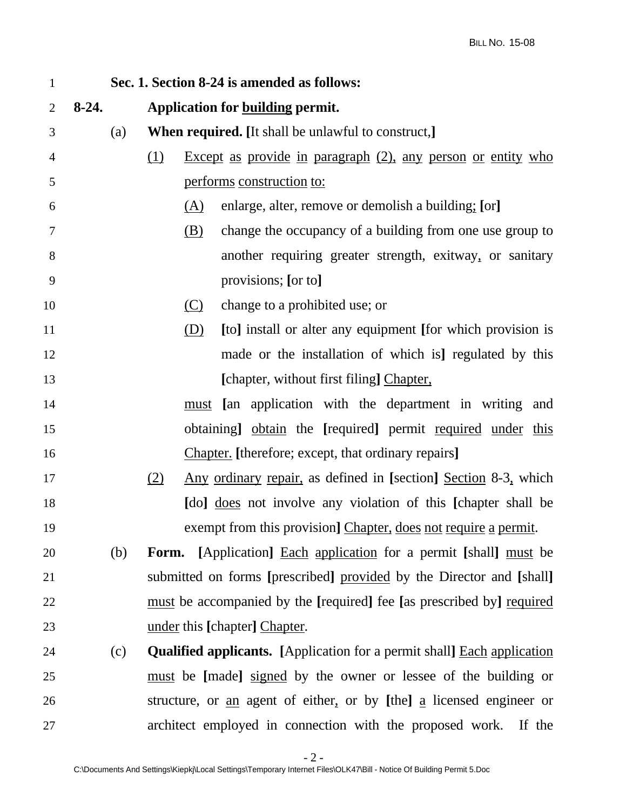|                 |                   | Sec. 1. Section 8-24 is amended as follows:                                           |
|-----------------|-------------------|---------------------------------------------------------------------------------------|
| $8-24.$         |                   | Application for <b>building</b> permit.                                               |
|                 | $\left( a\right)$ | When required. [It shall be unlawful to construct,]                                   |
|                 |                   | (1) Except as provide in paragraph (2), any person or entity who                      |
| 5               |                   | performs construction to:                                                             |
| 6               |                   | enlarge, alter, remove or demolish a building: [or]<br><u>(A)</u>                     |
|                 |                   | change the occupancy of a building from one use group to<br>(B)                       |
|                 |                   | another requiring greater strength, exitway, or sanitary                              |
| 9               |                   | provisions; [or to]                                                                   |
| 10              |                   | change to a prohibited use; or<br><u>(C)</u>                                          |
| 11              |                   | [to] install or alter any equipment [for which provision is<br>(D)                    |
| 12              |                   | made or the installation of which is] regulated by this                               |
| 13              |                   | [chapter, without first filing] Chapter,                                              |
| $\overline{14}$ |                   | must [an application with the department in writing and                               |
| 15              |                   | obtaining] obtain the [required] permit required under this                           |
| 16              |                   | Chapter. [therefore; except, that ordinary repairs]                                   |
| 17              |                   | Any ordinary repair, as defined in [section] Section 8-3, which<br>(2)                |
| 18              |                   | [do] <u>does</u> not involve any violation of this [chapter shall be                  |
| 19              |                   | exempt from this provision] Chapter, does not require a permit.                       |
| 20              | (b)               | Form. [Application] Each application for a permit [shall] must be                     |
| 21              |                   | submitted on forms [prescribed] provided by the Director and [shall]                  |
| 22              |                   | must be accompanied by the [required] fee [as prescribed by] required                 |
| 23              |                   | under this [chapter] Chapter.                                                         |
| 24              | (c)               | <b>Qualified applicants.</b> [Application for a permit shall] <b>Each application</b> |
| 25              |                   | must be [made] signed by the owner or lessee of the building or                       |
| 26              |                   | structure, or <u>an</u> agent of either, or by [the] a licensed engineer or           |
| 27              |                   | architect employed in connection with the proposed work. If the                       |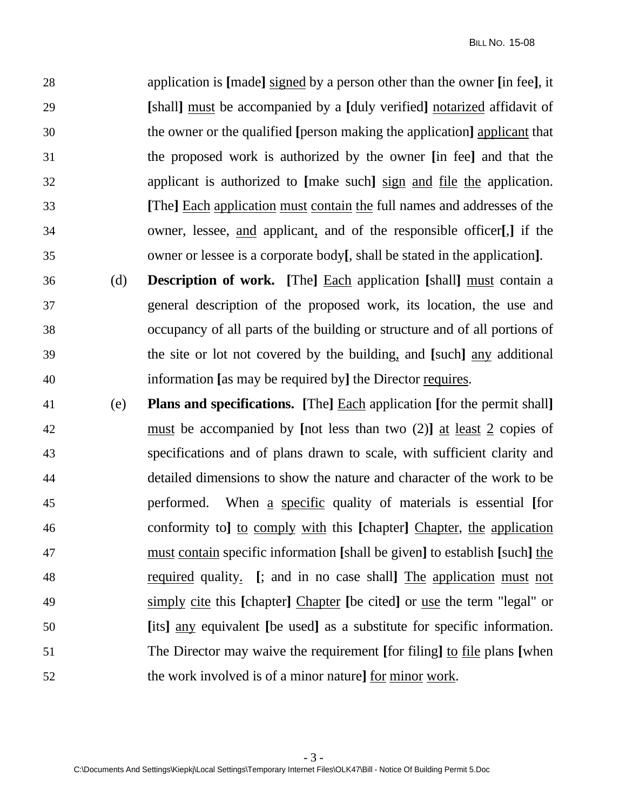application is **[**made**]** signed by a person other than the owner **[**in fee**]**, it **[**shall**]** must be accompanied by a **[**duly verified**]** notarized affidavit of the owner or the qualified **[**person making the application**]** applicant that the proposed work is authorized by the owner **[**in fee**]** and that the applicant is authorized to **[**make such**]** sign and file the application. **[**The**]** Each application must contain the full names and addresses of the owner, lessee, and applicant, and of the responsible officer**[**,**]** if the owner or lessee is a corporate body**[**, shall be stated in the application**]**.

- (d) **Description of work. [**The**]** Each application **[**shall**]** must contain a general description of the proposed work, its location, the use and occupancy of all parts of the building or structure and of all portions of the site or lot not covered by the building, and **[**such**]** any additional information **[**as may be required by**]** the Director requires.
- (e) **Plans and specifications. [**The**]** Each application **[**for the permitshall**]** must be accompanied by **[**not less than two (2)**]** at least 2 copies of specifications and of plans drawn to scale, with sufficient clarity and detailed dimensions to show the nature and character of the work to be performed. When a specific quality of materials is essential **[**for conformity to**]** to comply with this **[**chapter**]** Chapter, the application must contain specific information **[**shall be given**]** to establish **[**such**]** the required quality. **[**; and in no case shall**]** Theapplication must not simply cite this **[**chapter**]** Chapter **[**be cited**]** or use the term "legal" or **[**its**]** any equivalent **[**be used**]** as a substitute for specific information. The Director may waive the requirement **[**forfiling**]** to file plans **[**when the work involved is of a minor nature**]** for minor work.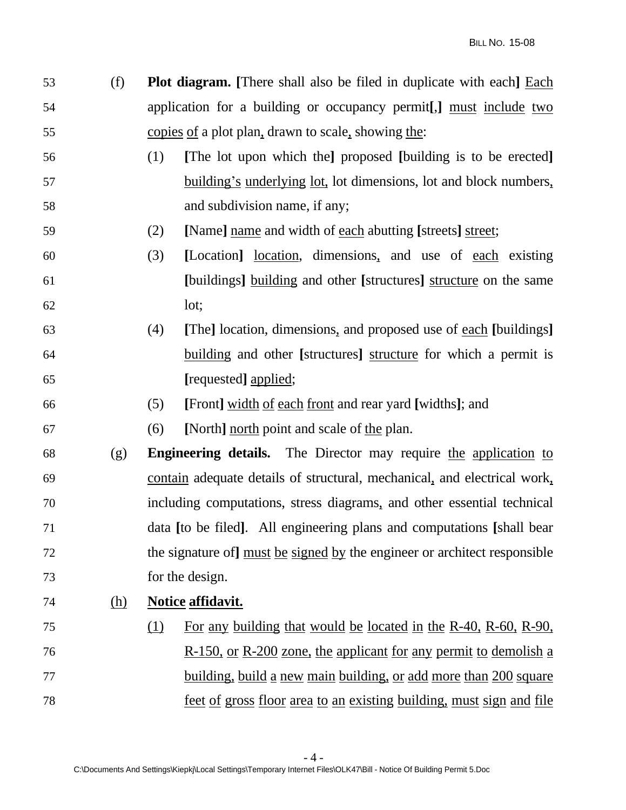- (f) **Plot diagram. [**There shall also be filed in duplicate with each**]** Each application for a building or occupancy permit**[**,**]** must include two copies of a plot plan, drawn to scale, showing the:
- (1) **[**The lot upon which the**]** proposed **[**building is to be erected**]** 57 building's underlying lot, lot dimensions, lot and block numbers, and subdivision name, if any;
- (2) **[**Name**]** name and width of each abutting **[**streets**]** street;
- (3) **[**Location**]** location, dimensions, and use of each existing **[**buildings**]** building and other **[**structures**]** structure on the same lot;
- (4) **[**The**]** location, dimensions, and proposed use of each **[**buildings**]** building and other **[**structures**]** structure for which a permit is **[**requested**]** applied;
- (5) **[**Front**]** width of each front and rear yard **[**widths**]**; and
- (6) **[**North**]** north point and scale of the plan.
- (g) **Engineering details.** The Director may require the application to contain adequate details of structural, mechanical, and electricalwork, including computations, stress diagrams, and other essential technical data **[**to be filed**]**. All engineering plans and computations **[**shall bear the signature of**]** must be signed by the engineer or architect responsible for the design.
- (h) **Notice affidavit.**
- (1) For any building that would be located in the R-40, R-60, R-90, R-150, or R-200 zone, the applicant for any permit to demolish a building, build a new main building, oradd more than 200 square feet of gross floor area to an existing building, must sign and file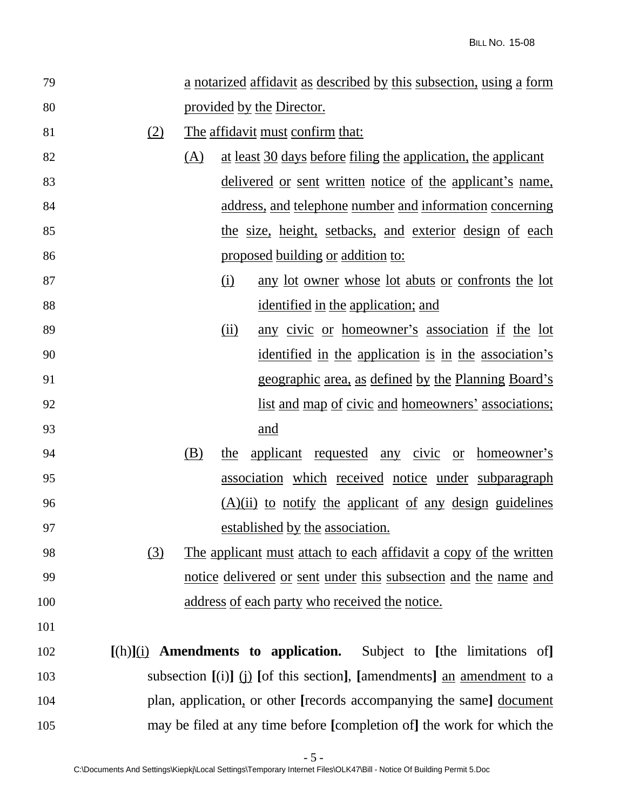| 79  | a notarized affidavit as described by this subsection, using a form               |
|-----|-----------------------------------------------------------------------------------|
| 80  | provided by the Director.                                                         |
| 81  | (2) The affidavit must confirm that:                                              |
| 82  | (A) at least 30 days before filing the application, the applicant                 |
| 83  | delivered or sent written notice of the applicant's name,                         |
| 84  | address, and telephone number and information concerning                          |
| 85  | the size, height, setbacks, and exterior design of each                           |
| 86  | proposed building or addition to:                                                 |
| 87  | any lot owner whose lot abuts or confronts the lot<br>$\Omega$                    |
| 88  | identified in the application; and                                                |
| 89  | any civic or homeowner's association if the lot<br>(ii)                           |
| 90  | identified in the application is in the association's                             |
| 91  | geographic area, as defined by the Planning Board's                               |
| 92  | list and map of civic and homeowners' associations;                               |
| 93  | <u>and</u>                                                                        |
| 94  | (B) the applicant requested any civic or homeowner's                              |
| 95  | association which received notice under subparagraph                              |
| 96  | $(A)(ii)$ to notify the applicant of any design guidelines                        |
| 97  | established by the association.                                                   |
| 98  | (3) The applicant must attach to each affidavit a copy of the written             |
| 99  | notice delivered or sent under this subsection and the name and                   |
| 100 | address of each party who received the notice.                                    |
| 101 |                                                                                   |
| 102 | $[(h)]$ (i) <b>Amendments to application.</b> Subject to [the limitations of]     |
| 103 | subsection $[(i)]$ $(j)$ [of this section], [amendments] <u>an amendment</u> to a |
| 104 | plan, application, or other [records accompanying the same] document              |
| 105 | may be filed at any time before [completion of] the work for which the            |